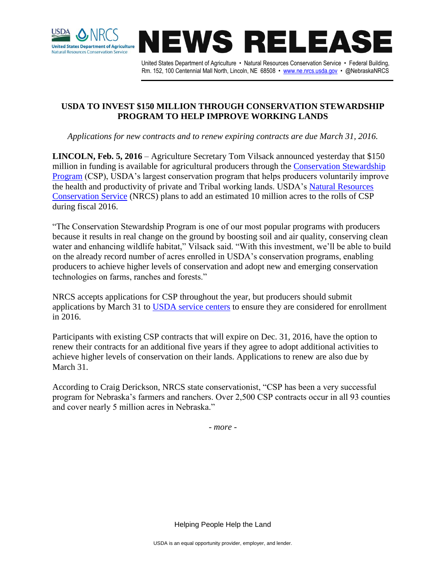



United States Department of Agriculture • Natural Resources Conservation Service • Federal Building, Rm. 152, 100 Centennial Mall North, Lincoln, NE 68508 • [www.ne.nrcs.usda.gov](http://www.ne.nrcs.usda.gov/) • @NebraskaNRCS

## **USDA TO INVEST \$150 MILLION THROUGH CONSERVATION STEWARDSHIP PROGRAM TO HELP IMPROVE WORKING LANDS**

*Applications for new contracts and to renew expiring contracts are due March 31, 2016.*

**LINCOLN, Feb. 5, 2016** – Agriculture Secretary Tom Vilsack announced yesterday that \$150 million in funding is available for agricultural producers through the [Conservation Stewardship](http://www.nrcs.usda.gov/wps/portal/nrcs/detail/national/programs/financial/csp/?cid=stelprdb1242683)  [Program](http://www.nrcs.usda.gov/wps/portal/nrcs/detail/national/programs/financial/csp/?cid=stelprdb1242683) (CSP), USDA's largest conservation program that helps producers voluntarily improve the health and productivity of private and Tribal working lands. USDA's [Natural Resources](http://www.nrcs.usda.gov/)  [Conservation Service](http://www.nrcs.usda.gov/) (NRCS) plans to add an estimated 10 million acres to the rolls of CSP during fiscal 2016.

"The Conservation Stewardship Program is one of our most popular programs with producers because it results in real change on the ground by boosting soil and air quality, conserving clean water and enhancing wildlife habitat," Vilsack said. "With this investment, we'll be able to build on the already record number of acres enrolled in USDA's conservation programs, enabling producers to achieve higher levels of conservation and adopt new and emerging conservation technologies on farms, ranches and forests."

NRCS accepts applications for CSP throughout the year, but producers should submit applications by March 31 to [USDA service centers](http://www.nrcs.usda.gov/wps/portal/nrcs/main/national/contact/local/) to ensure they are considered for enrollment in 2016.

Participants with existing CSP contracts that will expire on Dec. 31, 2016, have the option to renew their contracts for an additional five years if they agree to adopt additional activities to achieve higher levels of conservation on their lands. Applications to renew are also due by March 31.

According to Craig Derickson, NRCS state conservationist, "CSP has been a very successful program for Nebraska's farmers and ranchers. Over 2,500 CSP contracts occur in all 93 counties and cover nearly 5 million acres in Nebraska."

*- more -*

Helping People Help the Land